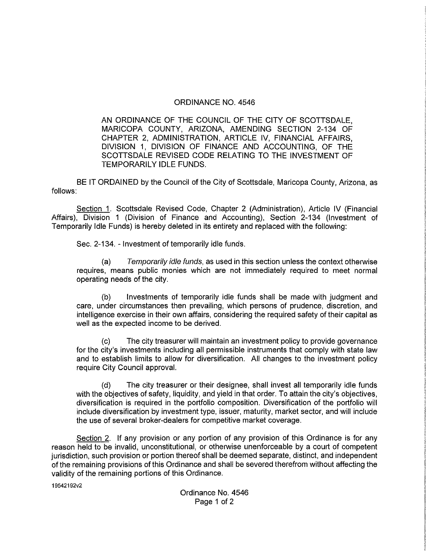## ORDINANCE NO. 4546

AN ORDINANCE OF THE COUNCIL OF THE CITY OF SCOTTSDALE, MARICOPA COUNTY, ARIZONA, AMENDING SECTION 2-134 OF CHAPTER 2, ADMINISTRATION, ARTICLE IV, FINANCIAL AFFAIRS, DIVISION 1, DIVISION OF FINANCE AND ACCOUNTING, OF THE SCOTTSDALE REVISED CODE RELATING TO THE INVESTMENT OF TEMPORARILY IDLE FUNDS.

BE IT ORDAINED by the Council of the City of Scottsdale, Maricopa County, Arizona, as follows:

Section 1. Scottsdale Revised Code, Chapter 2 (Administration), Article IV (Financial Affairs), Division <sup>1</sup> (Division of Finance and Accounting), Section 2-134 (Investment of Temporarily Idle Funds) is hereby deleted in its entirety and replaced with the following:

Sec. 2-134. - Investment of temporarily idle funds.

(a) Temporarily idle funds, as used in this section unless the context otherwise requires, means public monies which are not immediately required to meet normal operating needs of the city.

(b) Investments of temporarily idle funds shall be made with judgment and care, under circumstances then prevailing, which persons of prudence, discretion, and intelligence exercise in their own affairs, considering the required safety of their capital as well as the expected income to be derived.

(c) The city treasurer will maintain an investment policy to provide governance for the city's investments including all permissible instruments that comply with state law and to establish limits to allow for diversification. AH changes to the investment policy require City Council approval.

(d) The city treasurer or their designee, shall invest all temporarily idle funds with the objectives of safety, liquidity, and yield in that order. To attain the city's objectives, diversification is required in the portfolio composition. Diversification of the portfolio will include diversification by investment type, issuer, maturity, market sector, and will include the use of several broker-dealers for competitive market coverage.

Section 2. If any provision or any portion of any provision of this Ordinance is for any reason held to be invalid, unconstitutional, or otherwise unenforceable by a court of competent jurisdiction, such provision or portion thereof shall be deemed separate, distinct, and independent of the remaining provisions of this Ordinance and shall be severed therefrom without affecting the validity of the remaining portions of this Ordinance.

19542192v2